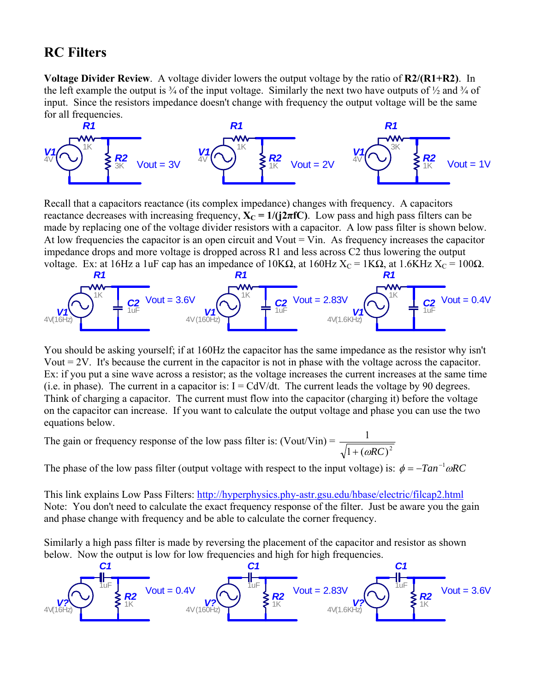## **RC Filters**

**Voltage Divider Review**. A voltage divider lowers the output voltage by the ratio of **R2/(R1+R2)**. In the left example the output is  $\frac{3}{4}$  of the input voltage. Similarly the next two have outputs of  $\frac{1}{2}$  and  $\frac{3}{4}$  of input. Since the resistors impedance doesn't change with frequency the output voltage will be the same for all frequencies.



Recall that a capacitors reactance (its complex impedance) changes with frequency. A capacitors reactance decreases with increasing frequency,  $X_C = 1/(j2\pi fC)$ . Low pass and high pass filters can be made by replacing one of the voltage divider resistors with a capacitor. A low pass filter is shown below. At low frequencies the capacitor is an open circuit and  $Vout = Vin$ . As frequency increases the capacitor impedance drops and more voltage is dropped across R1 and less across C2 thus lowering the output voltage. Ex: at 16Hz a 1uF cap has an impedance of 10KΩ, at 160Hz  $X_C = 1KΩ$ , at 1.6KHz  $X_C = 100Ω$ .



You should be asking yourself; if at 160Hz the capacitor has the same impedance as the resistor why isn't Vout = 2V. It's because the current in the capacitor is not in phase with the voltage across the capacitor. Ex: if you put a sine wave across a resistor; as the voltage increases the current increases at the same time (i.e. in phase). The current in a capacitor is:  $I = CdV/dt$ . The current leads the voltage by 90 degrees. Think of charging a capacitor. The current must flow into the capacitor (charging it) before the voltage on the capacitor can increase. If you want to calculate the output voltage and phase you can use the two equations below.

The gain or frequency response of the low pass filter is:  $($ Vout/Vin $) = \frac{1}{\sqrt{1 + (\omega RC)}^2}$ 1  $+$   $(\omega RC)$ 

The phase of the low pass filter (output voltage with respect to the input voltage) is:  $\phi = -Tan^{-1} \omega RC$ 

This link explains Low Pass Filters: <http://hyperphysics.phy-astr.gsu.edu/hbase/electric/filcap2.html> Note: You don't need to calculate the exact frequency response of the filter. Just be aware you the gain and phase change with frequency and be able to calculate the corner frequency.

Similarly a high pass filter is made by reversing the placement of the capacitor and resistor as shown below. Now the output is low for low frequencies and high for high frequencies.